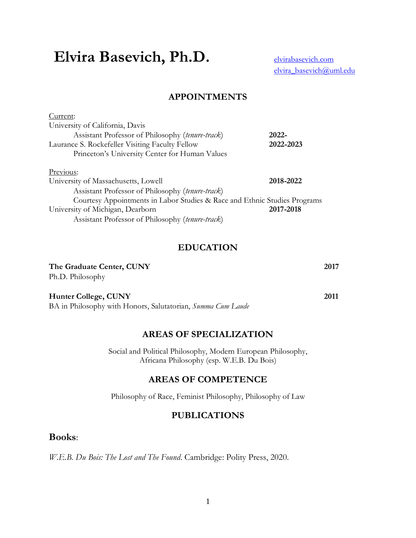# Elvira Basevich, Ph.D. **Elvirabasevich.com**

[elvira\\_basevich@uml.edu](mailto:elvira_basevich@uml.edu)

## **APPOINTMENTS**

| Current:                                                                  |           |
|---------------------------------------------------------------------------|-----------|
| University of California, Davis                                           |           |
| Assistant Professor of Philosophy (tenure-track)                          | 2022-     |
| Laurance S. Rockefeller Visiting Faculty Fellow                           | 2022-2023 |
| Princeton's University Center for Human Values                            |           |
| Previous:                                                                 |           |
| University of Massachusetts, Lowell                                       | 2018-2022 |
| Assistant Professor of Philosophy (tenure-track)                          |           |
| Courtesy Appointments in Labor Studies & Race and Ethnic Studies Programs |           |
| University of Michigan, Dearborn                                          | 2017-2018 |
| Assistant Professor of Philosophy (tenure-track)                          |           |

## **EDUCATION**

#### **The Graduate Center, CUNY** 2017

Ph.D. Philosophy

**Hunter College, CUNY 2011**

BA in Philosophy with Honors, Salutatorian, *Summa Cum Laude* 

## **AREAS OF SPECIALIZATION**

Social and Political Philosophy, Modern European Philosophy, Africana Philosophy (esp. W.E.B. Du Bois)

## **AREAS OF COMPETENCE**

Philosophy of Race, Feminist Philosophy, Philosophy of Law

## **PUBLICATIONS**

#### **Books**:

*W.E.B. Du Bois: The Lost and The Found*. Cambridge: Polity Press, 2020.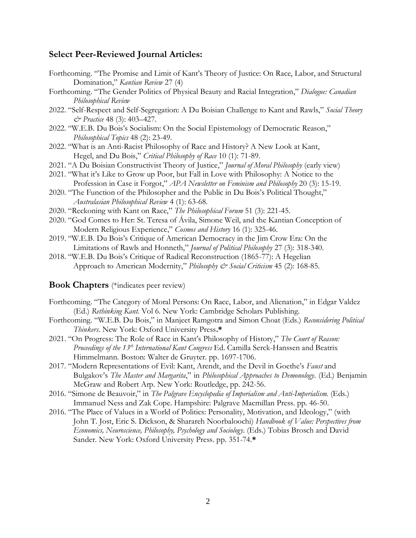#### **Select Peer-Reviewed Journal Articles:**

- Forthcoming. "The Promise and Limit of Kant's Theory of Justice: On Race, Labor, and Structural Domination," *Kantian Review* 27 (4)
- Forthcoming. "The Gender Politics of Physical Beauty and Racial Integration," *Dialogue: Canadian Philosophical Review*
- 2022. "Self-Respect and Self-Segregation: A Du Boisian Challenge to Kant and Rawls," *Social Theory & Practice* 48 (3): 403–427.
- 2022. "W.E.B. Du Bois's Socialism: On the Social Epistemology of Democratic Reason," *Philosophical Topics* 48 (2): 23-49.
- 2022. "What is an Anti-Racist Philosophy of Race and History? A New Look at Kant, Hegel, and Du Bois," *Critical Philosophy of Race* 10 (1): 71-89.
- 2021. "A Du Boisian Constructivist Theory of Justice," *Journal of Moral Philosophy* (early view)
- 2021. "What it's Like to Grow up Poor, but Fall in Love with Philosophy: A Notice to the Profession in Case it Forgot," *APA Newsletter on Feminism and Philosophy* 20 (3): 15-19.
- 2020. "The Function of the Philosopher and the Public in Du Bois's Political Thought," *Australasian Philosophical Review* 4 (1): 63-68.
- 2020. "Reckoning with Kant on Race," *The Philosophical Forum* 51 (3): 221-45.
- 2020. "God Comes to Her: St. Teresa of Ávila, Simone Weil, and the Kantian Conception of Modern Religious Experience," *Cosmos and History* 16 (1): 325-46.
- 2019. "W.E.B. Du Bois's Critique of American Democracy in the Jim Crow Era: On the Limitations of Rawls and Honneth," *Journal of Political Philosophy* 27 (3): 318-340.
- 2018. "W.E.B. Du Bois's Critique of Radical Reconstruction (1865-77): A Hegelian Approach to American Modernity," *Philosophy & Social Criticism* 45 (2): 168-85.

#### **Book Chapters** (\*indicates peer review)

- Forthcoming. "The Category of Moral Persons: On Race, Labor, and Alienation," in Edgar Valdez (Ed.) *Rethinking Kant.* Vol 6. New York: Cambridge Scholars Publishing.
- Forthcoming. "W.E.B. Du Bois," in Manjeet Ramgotra and Simon Choat (Eds.) *Reconsidering Political Thinkers*. New York: Oxford University Press**.\***
- 2021. "On Progress: The Role of Race in Kant's Philosophy of History," *The Court of Reason: Proceedings of the 13th International Kant Congress* Ed. Camilla Serck-Hanssen and Beatrix Himmelmann. Boston: Walter de Gruyter. pp. 1697-1706.
- 2017. "Modern Representations of Evil: Kant, Arendt, and the Devil in Goethe's *Faust* and Bulgakov's *The Master and Margarita*," in *Philosophical Approaches to Demonology.* (Ed.) Benjamin McGraw and Robert Arp. New York: Routledge, pp. 242-56.
- 2016. "Simone de Beauvoir," in *The Palgrave Encyclopedia of Imperialism and Anti-Imperialism.* (Eds.) Immanuel Ness and Zak Cope. Hampshire: Palgrave Macmillan Press. pp. 46-50.
- 2016. "The Place of Values in a World of Politics: Personality, Motivation, and Ideology," (with John T. Jost, Eric S. Dickson, & Sharareh Noorbaloochi) *Handbook of Value: Perspectives from Economics, Neuroscience, Philosophy, Psychology and Sociology*. (Eds.) Tobias Brosch and David Sander. New York: Oxford University Press. pp. 351-74.**\***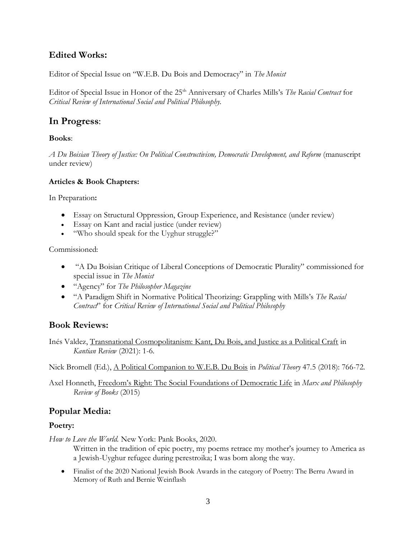# **Edited Works:**

Editor of Special Issue on "W.E.B. Du Bois and Democracy" in *The Monist*

Editor of Special Issue in Honor of the 25<sup>th</sup> Anniversary of Charles Mills's *The Racial Contract* for *Critical Review of International Social and Political Philosophy.* 

# **In Progress**:

#### **Books**:

*A Du Boisian Theory of Justice: On Political Constructivism, Democratic Development, and Reform* (manuscript under review)

#### **Articles & Book Chapters:**

In Preparation**:**

- Essay on Structural Oppression, Group Experience, and Resistance (under review)
- Essay on Kant and racial justice (under review)
- "Who should speak for the Uyghur struggle?"

Commissioned:

- "A Du Boisian Critique of Liberal Conceptions of Democratic Plurality" commissioned for special issue in *The Monist*
- "Agency" for *The Philosopher Magazine*
- "A Paradigm Shift in Normative Political Theorizing: Grappling with Mills's *The Racial Contract*" for *Critical Review of International Social and Political Philosophy*

# **Book Reviews:**

Inés Valdez, Transnational Cosmopolitanism: Kant, Du Bois, and Justice as a Political Craft in *Kantian Review* (2021): 1-6.

Nick Bromell (Ed.), A Political Companion to W.E.B. Du Bois in *Political Theory* 47.5 (2018): 766-72.

Axel Honneth, Freedom's Right: The Social Foundations of Democratic Life in *Marx and Philosophy Review of Books* (2015)

# **Popular Media:**

## **Poetry:**

*How to Love the World.* New York: Pank Books, 2020.

Written in the tradition of epic poetry, my poems retrace my mother's journey to America as a Jewish-Uyghur refugee during perestroika; I was born along the way.

• Finalist of the 2020 National Jewish Book Awards in the category of Poetry: The Berru Award in Memory of Ruth and Bernie Weinflash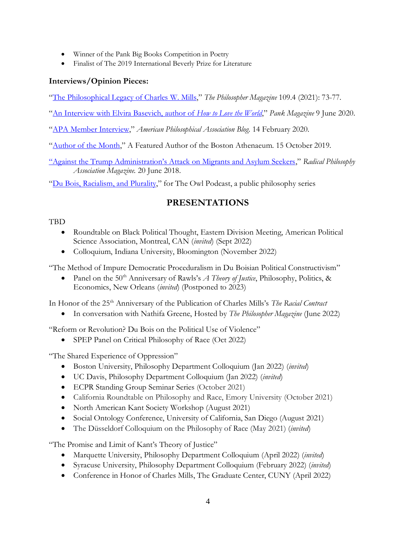- Winner of the Pank Big Books Competition in Poetry
- Finalist of The 2019 International Beverly Prize for Literature

## **Interviews/Opinion Pieces:**

"[The Philosophical Legacy of Charles W. Mills](https://www.academia.edu/60946494/The_Philosophical_Legacy_of_Charles_Mills)," *The Philosopher Magazine* 109.4 (2021): 73-77.

"[An Interview with Elvira Basevich, author of](https://pankmagazine.com/category/interviews/) *How to Love the World*," *Pank Magazine* 9 June 2020.

"[APA Member Interview](https://blog.apaonline.org/2020/02/14/apa-member-interview-elvira-basevich/)," *American Philosophical Association Blog*. 14 February 2020.

"[Author of the Month](https://www.bostonathenaeum.org/library/book-recommendations/athenaeum-authors/dr-elvira-basevich)," A Featured Author of the Boston Athenaeum. 15 October 2019.

["Against the Trump Administration's Attack on Migrants and Asylum Seekers](https://www.rpamag.org/2018/06/defending-the-right-of-families-to-stay-united-the-trump-administrations-attack-on-migrants-and-asylum-seekers)," *Radical Philosophy Association Magazine.* 20 June 2018.

"[Du Bois, Racialism,](https://www.mixcloud.com/BKPP/episode-3-elvira-basevich-on-web-du-boiss-racialism/) and Plurality," for The Owl Podcast, a public philosophy series

# **PRESENTATIONS**

#### TBD

- Roundtable on Black Political Thought, Eastern Division Meeting, American Political Science Association, Montreal, CAN (*invited*) (Sept 2022)
- Colloquium, Indiana University, Bloomington (November 2022)

"The Method of Impure Democratic Proceduralism in Du Boisian Political Constructivism"

• Panel on the 50<sup>th</sup> Anniversary of Rawls's *A Theory of Justice*, Philosophy, Politics, & Economics, New Orleans (*invited*) (Postponed to 2023)

In Honor of the 25<sup>th</sup> Anniversary of the Publication of Charles Mills's *The Racial Contract* 

• In conversation with Nathifa Greene, Hosted by *The Philosopher Magazine* (June 2022)

"Reform or Revolution? Du Bois on the Political Use of Violence"

• SPEP Panel on Critical Philosophy of Race (Oct 2022)

"The Shared Experience of Oppression"

- Boston University, Philosophy Department Colloquium (Jan 2022) (*invited*)
- UC Davis, Philosophy Department Colloquium (Jan 2022) (*invited*)
- ECPR Standing Group Seminar Series (October 2021)
- California Roundtable on Philosophy and Race, Emory University (October 2021)
- North American Kant Society Workshop (August 2021)
- Social Ontology Conference, University of California, San Diego (August 2021)
- The Düsseldorf Colloquium on the Philosophy of Race (May 2021) (*invited*)

"The Promise and Limit of Kant's Theory of Justice"

- Marquette University, Philosophy Department Colloquium (April 2022) (*invited*)
- Syracuse University, Philosophy Department Colloquium (February 2022) (*invited*)
- Conference in Honor of Charles Mills, The Graduate Center, CUNY (April 2022)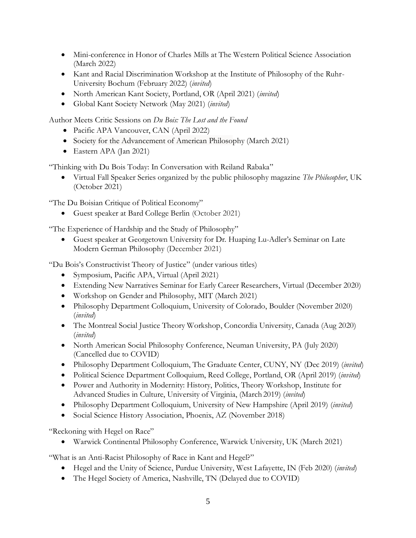- Mini-conference in Honor of Charles Mills at The Western Political Science Association (March 2022)
- Kant and Racial Discrimination Workshop at the Institute of Philosophy of the Ruhr-University Bochum (February 2022) (*invited*)
- North American Kant Society, Portland, OR (April 2021) (*invited*)
- Global Kant Society Network (May 2021) (*invited*)

Author Meets Critic Sessions on *Du Bois: The Lost and the Found*

- Pacific APA Vancouver, CAN (April 2022)
- Society for the Advancement of American Philosophy (March 2021)
- Eastern APA (Jan 2021)

"Thinking with Du Bois Today: In Conversation with Reiland Rabaka"

• Virtual Fall Speaker Series organized by the public philosophy magazine *The Philosopher*, UK (October 2021)

"The Du Boisian Critique of Political Economy"

• Guest speaker at Bard College Berlin (October 2021)

"The Experience of Hardship and the Study of Philosophy"

• Guest speaker at Georgetown University for Dr. Huaping Lu-Adler's Seminar on Late Modern German Philosophy (December 2021)

"Du Bois's Constructivist Theory of Justice" (under various titles)

- Symposium, Pacific APA, Virtual (April 2021)
- Extending New Narratives Seminar for Early Career Researchers, Virtual (December 2020)
- Workshop on Gender and Philosophy, MIT (March 2021)
- Philosophy Department Colloquium, University of Colorado, Boulder (November 2020) (*invited*)
- The Montreal Social Justice Theory Workshop, Concordia University, Canada (Aug 2020) (*invited*)
- North American Social Philosophy Conference, Neuman University, PA (July 2020) (Cancelled due to COVID)
- Philosophy Department Colloquium, The Graduate Center, CUNY, NY (Dec 2019) (*invited*)
- Political Science Department Colloquium, Reed College, Portland, OR (April 2019) (*invited*)
- Power and Authority in Modernity: History, Politics, Theory Workshop, Institute for Advanced Studies in Culture, University of Virginia, (March 2019) (*invited*)
- Philosophy Department Colloquium, University of New Hampshire (April 2019) (*invited*)
- Social Science History Association, Phoenix, AZ (November 2018)

"Reckoning with Hegel on Race"

• Warwick Continental Philosophy Conference, Warwick University, UK (March 2021)

"What is an Anti-Racist Philosophy of Race in Kant and Hegel?"

- Hegel and the Unity of Science, Purdue University, West Lafayette, IN (Feb 2020) (*invited*)
- The Hegel Society of America, Nashville, TN (Delayed due to COVID)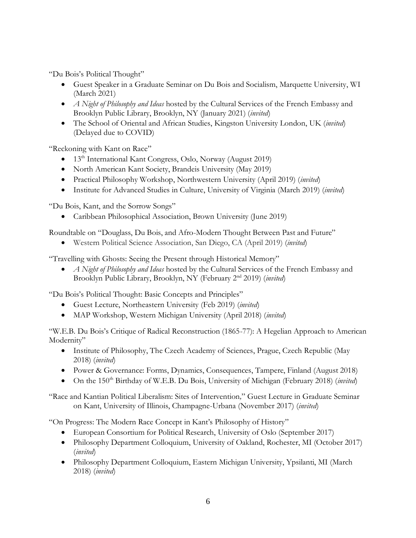"Du Bois's Political Thought"

- Guest Speaker in a Graduate Seminar on Du Bois and Socialism, Marquette University, WI (March 2021)
- *A Night of Philosophy and Ideas* hosted by the Cultural Services of the French Embassy and Brooklyn Public Library, Brooklyn, NY (January 2021) (*invited*)
- The School of Oriental and African Studies, Kingston University London, UK (*invited*) (Delayed due to COVID)

"Reckoning with Kant on Race"

- 13<sup>th</sup> International Kant Congress, Oslo, Norway (August 2019)
- North American Kant Society, Brandeis University (May 2019)
- Practical Philosophy Workshop, Northwestern University (April 2019) (*invited*)
- Institute for Advanced Studies in Culture, University of Virginia (March 2019) (*invited*)

"Du Bois, Kant, and the Sorrow Songs"

• Caribbean Philosophical Association, Brown University (June 2019)

Roundtable on "Douglass, Du Bois, and Afro-Modern Thought Between Past and Future"

• Western Political Science Association, San Diego, CA (April 2019) (*invited*)

"Travelling with Ghosts: Seeing the Present through Historical Memory"

• *A Night of Philosophy and Ideas* hosted by the Cultural Services of the French Embassy and Brooklyn Public Library, Brooklyn, NY (February 2nd 2019) (*invited*)

"Du Bois's Political Thought: Basic Concepts and Principles"

- Guest Lecture, Northeastern University (Feb 2019) (*invited*)
- MAP Workshop, Western Michigan University (April 2018) (*invited*)

"W.E.B. Du Bois's Critique of Radical Reconstruction (1865-77): A Hegelian Approach to American Modernity"

- Institute of Philosophy, The Czech Academy of Sciences, Prague, Czech Republic (May 2018) (*invited*)
- Power & Governance: Forms, Dynamics, Consequences, Tampere, Finland (August 2018)
- On the 150<sup>th</sup> Birthday of W.E.B. Du Bois, University of Michigan (February 2018) (*invited*)

"Race and Kantian Political Liberalism: Sites of Intervention*,*" Guest Lecture in Graduate Seminar on Kant, University of Illinois, Champagne-Urbana (November 2017) (*invited*)

"On Progress: The Modern Race Concept in Kant's Philosophy of History"

- European Consortium for Political Research, University of Oslo (September 2017)
- Philosophy Department Colloquium, University of Oakland, Rochester, MI (October 2017) (*invited*)
- Philosophy Department Colloquium, Eastern Michigan University, Ypsilanti, MI (March 2018) (*invited*)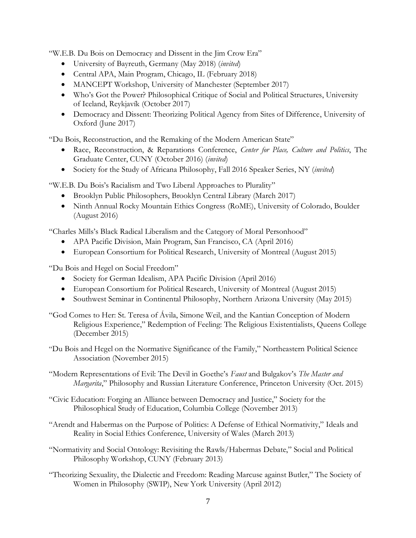"W.E.B. Du Bois on Democracy and Dissent in the Jim Crow Era"

- University of Bayreuth, Germany (May 2018) (*invited*)
- Central APA, Main Program, Chicago, IL (February 2018)
- MANCEPT Workshop, University of Manchester (September 2017)
- Who's Got the Power? Philosophical Critique of Social and Political Structures, University of Iceland, Reykjavík (October 2017)
- Democracy and Dissent: Theorizing Political Agency from Sites of Difference, University of Oxford (June 2017)

"Du Bois, Reconstruction, and the Remaking of the Modern American State"

- Race, Reconstruction, & Reparations Conference, *Center for Place, Culture and Politics*, The Graduate Center, CUNY (October 2016) (*invited*)
- Society for the Study of Africana Philosophy, Fall 2016 Speaker Series, NY (*invited*)

"W.E.B. Du Bois's Racialism and Two Liberal Approaches to Plurality"

- Brooklyn Public Philosophers, Brooklyn Central Library (March 2017)
- Ninth Annual Rocky Mountain Ethics Congress (RoME), University of Colorado, Boulder (August 2016)

"Charles Mills's Black Radical Liberalism and the Category of Moral Personhood"

- APA Pacific Division, Main Program, San Francisco, CA (April 2016)
- European Consortium for Political Research, University of Montreal (August 2015)

"Du Bois and Hegel on Social Freedom"

- Society for German Idealism, APA Pacific Division (April 2016)
- European Consortium for Political Research, University of Montreal (August 2015)
- Southwest Seminar in Continental Philosophy, Northern Arizona University (May 2015)

"God Comes to Her: St. Teresa of Ávila, Simone Weil, and the Kantian Conception of Modern Religious Experience," Redemption of Feeling: The Religious Existentialists, Queens College (December 2015)

"Du Bois and Hegel on the Normative Significance of the Family," Northeastern Political Science Association (November 2015)

"Modern Representations of Evil: The Devil in Goethe's *Faust* and Bulgakov's *The Master and Margarita*," Philosophy and Russian Literature Conference, Princeton University (Oct. 2015)

- "Civic Education: Forging an Alliance between Democracy and Justice," Society for the Philosophical Study of Education, Columbia College (November 2013)
- "Arendt and Habermas on the Purpose of Politics: A Defense of Ethical Normativity," Ideals and Reality in Social Ethics Conference, University of Wales (March 2013)
- "Normativity and Social Ontology: Revisiting the Rawls/Habermas Debate," Social and Political Philosophy Workshop, CUNY (February 2013)
- "Theorizing Sexuality, the Dialectic and Freedom: Reading Marcuse against Butler," The Society of Women in Philosophy (SWIP), New York University (April 2012)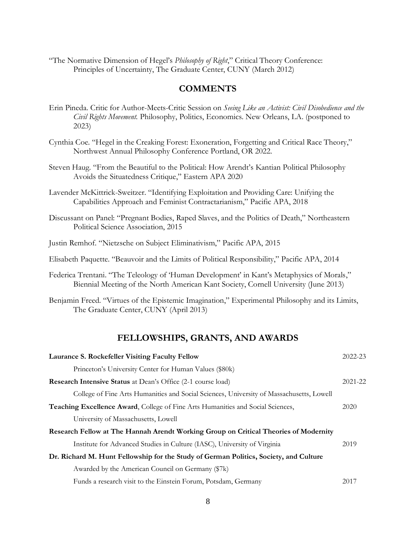"The Normative Dimension of Hegel's *Philosophy of Right*," Critical Theory Conference: Principles of Uncertainty, The Graduate Center, CUNY (March 2012)

#### **COMMENTS**

- Erin Pineda. Critic for Author-Meets-Critic Session on *Seeing Like an Activist: Civil Disobedience and the Civil Rights Movement.* Philosophy, Politics, Economics. New Orleans, LA. (postponed to 2023)
- Cynthia Coe. "Hegel in the Creaking Forest: Exoneration, Forgetting and Critical Race Theory," Northwest Annual Philosophy Conference Portland, OR 2022.
- Steven Haug. "From the Beautiful to the Political: How Arendt's Kantian Political Philosophy Avoids the Situatedness Critique," Eastern APA 2020
- Lavender McKittrick-Sweitzer. "Identifying Exploitation and Providing Care: Unifying the Capabilities Approach and Feminist Contractarianism," Pacific APA, 2018
- Discussant on Panel: "Pregnant Bodies, Raped Slaves, and the Politics of Death," Northeastern Political Science Association, 2015
- Justin Remhof. "Nietzsche on Subject Eliminativism," Pacific APA, 2015
- Elisabeth Paquette. "Beauvoir and the Limits of Political Responsibility," Pacific APA, 2014
- Federica Trentani. "The Teleology of 'Human Development' in Kant's Metaphysics of Morals," Biennial Meeting of the North American Kant Society, Cornell University (June 2013)
- Benjamin Freed. "Virtues of the Epistemic Imagination," Experimental Philosophy and its Limits, The Graduate Center, CUNY (April 2013)

#### **FELLOWSHIPS, GRANTS, AND AWARDS**

| Laurance S. Rockefeller Visiting Faculty Fellow                                          | $2022 - 23$ |
|------------------------------------------------------------------------------------------|-------------|
| Princeton's University Center for Human Values (\$80k)                                   |             |
| <b>Research Intensive Status</b> at Dean's Office (2-1 course load)                      | 2021-22     |
| College of Fine Arts Humanities and Social Sciences, University of Massachusetts, Lowell |             |
| <b>Teaching Excellence Award, College of Fine Arts Humanities and Social Sciences,</b>   | 2020        |
| University of Massachusetts, Lowell                                                      |             |
| Research Fellow at The Hannah Arendt Working Group on Critical Theories of Modernity     |             |
| Institute for Advanced Studies in Culture (IASC), University of Virginia                 | 2019        |
| Dr. Richard M. Hunt Fellowship for the Study of German Politics, Society, and Culture    |             |
| Awarded by the American Council on Germany (\$7k)                                        |             |
| Funds a research visit to the Einstein Forum, Potsdam, Germany                           | 2017        |
|                                                                                          |             |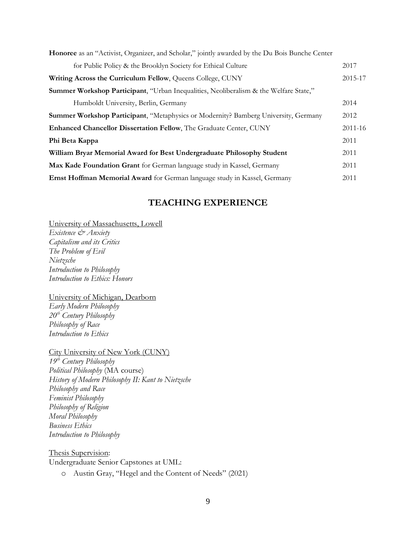| <b>Honoree</b> as an "Activist, Organizer, and Scholar," jointly awarded by the Du Bois Bunche Center |         |
|-------------------------------------------------------------------------------------------------------|---------|
| for Public Policy & the Brooklyn Society for Ethical Culture                                          | 2017    |
| Writing Across the Curriculum Fellow, Queens College, CUNY                                            | 2015-17 |
| Summer Workshop Participant, "Urban Inequalities, Neoliberalism & the Welfare State,"                 |         |
| Humboldt University, Berlin, Germany                                                                  | 2014    |
| <b>Summer Workshop Participant, "Metaphysics or Modernity? Bamberg University, Germany</b>            | 2012    |
| <b>Enhanced Chancellor Dissertation Fellow, The Graduate Center, CUNY</b>                             | 2011-16 |
| Phi Beta Kappa                                                                                        | 2011    |
| William Bryar Memorial Award for Best Undergraduate Philosophy Student                                | 2011    |
| Max Kade Foundation Grant for German language study in Kassel, Germany                                | 2011    |
| Ernst Hoffman Memorial Award for German language study in Kassel, Germany                             | 2011    |

#### **TEACHING EXPERIENCE**

University of Massachusetts, Lowell

*Existence & Anxiety Capitalism and its Critics The Problem of Evil Nietzsche Introduction to Philosophy Introduction to Ethics: Honors* 

University of Michigan, Dearborn *Early Modern Philosophy 20th Century Philosophy Philosophy of Race Introduction to Ethics*

City University of New York (CUNY)

*19th Century Philosophy Political Philosophy* (MA course) *History of Modern Philosophy II: Kant to Nietzsche Philosophy and Race Feminist Philosophy Philosophy of Religion Moral Philosophy Business Ethics Introduction to Philosophy*

Thesis Supervision: Undergraduate Senior Capstones at UML:

o Austin Gray, "Hegel and the Content of Needs" (2021)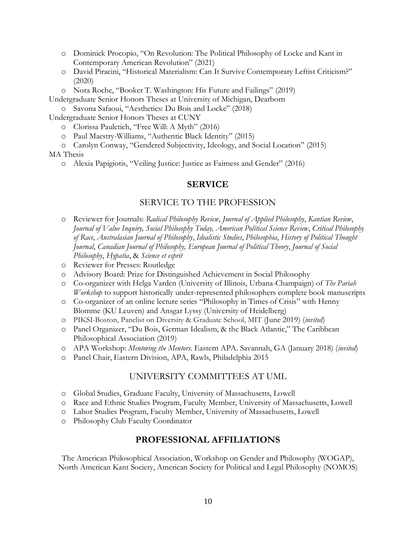- o Dominick Procopio, "On Revolution: The Political Philosophy of Locke and Kant in Contemporary American Revolution" (2021)
- o David Piracini, "Historical Materialism: Can It Survive Contemporary Leftist Criticism?" (2020)
- o Nora Roche, "Booker T. Washington: His Future and Failings" (2019)
- Undergraduate Senior Honors Theses at University of Michigan, Dearborn
	- o Savona Safaoui, "Aesthetics: Du Bois and Locke" (2018)

Undergraduate Senior Honors Theses at CUNY

- o Clorissa Pauletich, "Free Will: A Myth" (2016)
- o Paul Maestry-Williams, "Authentic Black Identity" (2015)
- o Carolyn Conway, "Gendered Subjectivity, Ideology, and Social Location" (2015)

#### MA Thesis

o Alexia Papigiotis, "Veiling Justice: Justice as Fairness and Gender" (2016)

## **SERVICE**

#### SERVICE TO THE PROFESSION

- o Reviewer for Journals: *Radical Philosophy Review*, *Journal of Applied Philosophy*, *Kantian Review*, *Journal of Value Inquiry, Social Philosophy Today, American Political Science Review*, *Critical Philosophy of Race*, *Australasian Journal of Philosophy*, *Idealistic Studies*, *Philosophia*, *History of Political Thought Journal*, *Canadian Journal of Philosophy, European Journal of Political Theory*, *Journal of Social Philosophy*, *Hypatia*, & *Science et esprit*
- o Reviewer for Presses: Routledge
- o Advisory Board: Prize for Distinguished Achievement in Social Philosophy
- o Co-organizer with Helga Varden (University of Illinois, Urbana-Champaign) of *The Pariah Workshop* to support historically under-represented philosophers complete book manuscripts
- o Co-organizer of an online lecture series "Philosophy in Times of Crisis" with Henny Blomme (KU Leuven) and Ansgar Lyssy (University of Heidelberg)
- o PIKSI-Boston, Panelist on Diversity & Graduate School, MIT (June 2019) (*invited*)
- o Panel Organizer, "Du Bois, German Idealism, & the Black Atlantic," The Caribbean Philosophical Association (2019)
- o APA Workshop: *Mentoring the Mentors*. Eastern APA. Savannah, GA (January 2018) (*invited*)
- o Panel Chair, Eastern Division, APA, Rawls, Philadelphia 2015

## UNIVERSITY COMMITTEES AT UML

- o Global Studies, Graduate Faculty, University of Massachusetts, Lowell
- o Race and Ethnic Studies Program, Faculty Member, University of Massachusetts, Lowell
- o Labor Studies Program, Faculty Member, University of Massachusetts, Lowell
- o Philosophy Club Faculty Coordinator

## **PROFESSIONAL AFFILIATIONS**

The American Philosophical Association, Workshop on Gender and Philosophy (WOGAP), North American Kant Society, American Society for Political and Legal Philosophy (NOMOS)